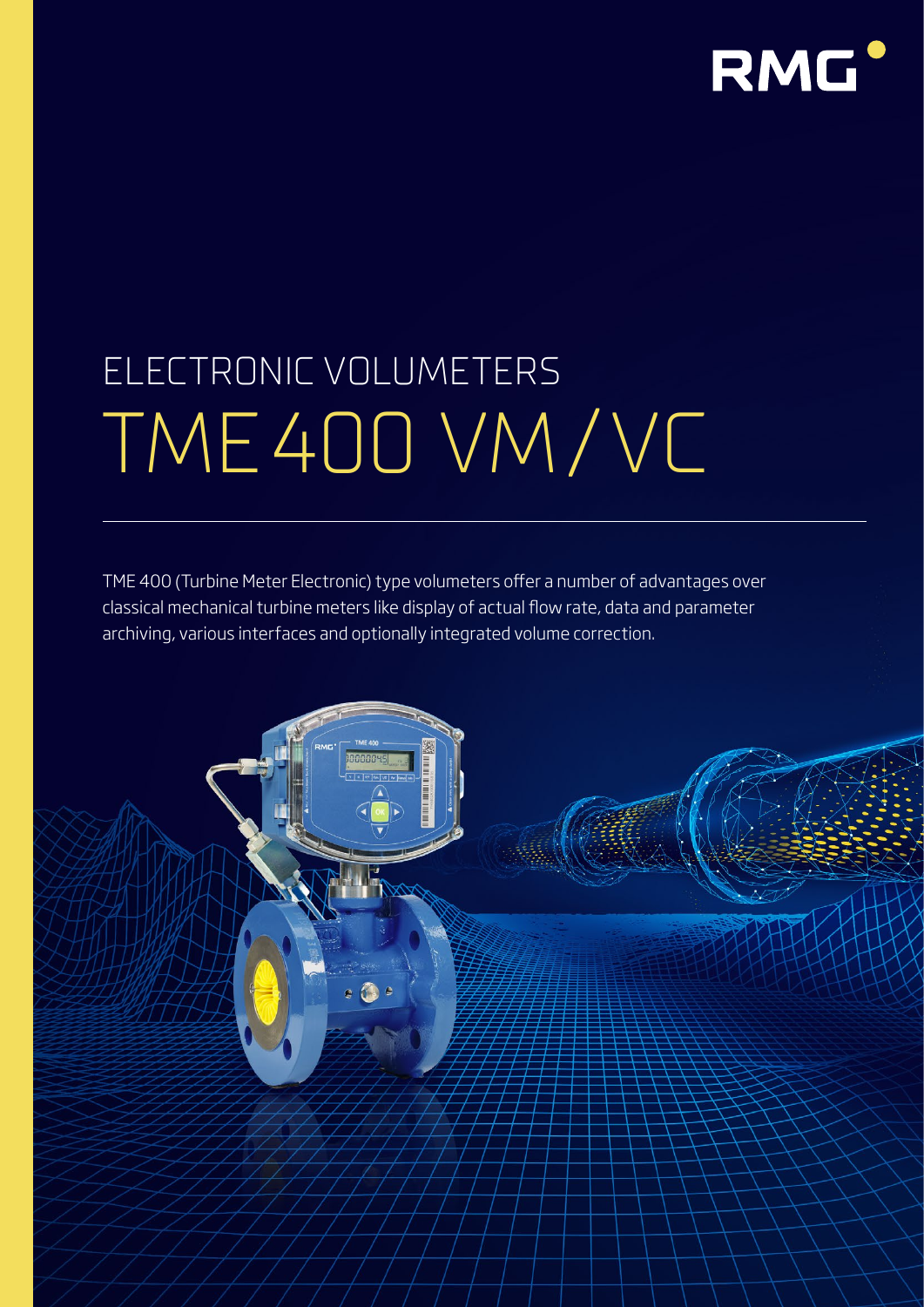

# ELECTRONIC VOLUMETERS TME400 VM/VC

TME 400 (Turbine Meter Electronic) type volumeters offer a number of advantages over classical mechanical turbine meters like display of actual flow rate, data and parameter archiving, various interfaces and optionally integrated volume correction.

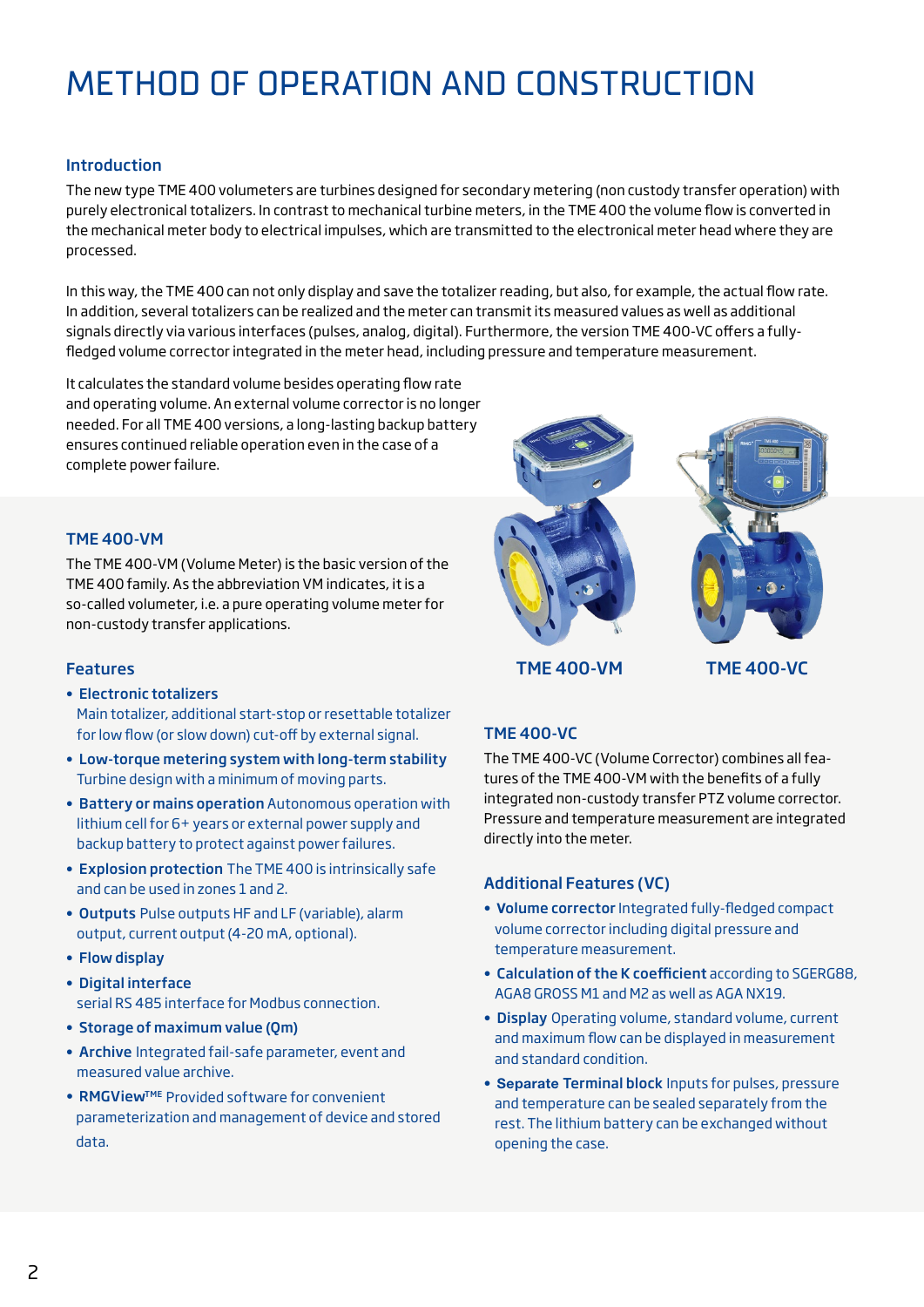# METHOD OF OPERATION AND CONSTRUCTION

# Introduction

The new type TME 400 volumeters are turbines designed for secondary metering (non custody transfer operation) with purely electronical totalizers. In contrast to mechanical turbine meters, in the TME 400 the volume flow is converted in the mechanical meter body to electrical impulses, which are transmitted to the electronical meter head where they are processed.

In this way, the TME 400 can not only display and save the totalizer reading, but also, for example, the actual flow rate. In addition, several totalizers can be realized and the meter can transmit its measured values as well as additional signals directly via various interfaces (pulses, analog, digital). Furthermore, the version TME 400-VC offers a fullyfledged volume corrector integrated in the meter head, including pressure and temperature measurement.

It calculates the standard volume besides operating flow rate and operating volume. An external volume corrector is no longer needed. For all TME 400 versions, a long-lasting backup battery ensures continued reliable operation even in the case of a complete power failure.

# TME 400-VM

The TME 400-VM (Volume Meter) is the basic version of the TME 400 family. As the abbreviation VM indicates, it is a so-called volumeter, i.e. a pure operating volume meter for non-custody transfer applications.

#### Features

- Electronic totalizers Main totalizer, additional start-stop or resettable totalizer for low flow (or slow down) cut-off by external signal.
- Low-torque metering system with long-term stability Turbine design with a minimum of moving parts.
- Battery or mains operation Autonomous operation with lithium cell for 6+ years or external power supply and backup battery to protect against power failures.
- Explosion protection The TME 400 is intrinsically safe and can be used in zones 1 and 2.
- Outputs Pulse outputs HF and LF (variable), alarm output, current output (4-20 mA, optional).
- Flow display
- Digital interface serial RS 485 interface for Modbus connection.
- Storage of maximum value (Qm)
- Archive Integrated fail-safe parameter, event and measured value archive.
- RMGView<sup>TME</sup> Provided software for convenient parameterization and management of device and stored data.



TME 400-VM TME 400-VC

# TME 400-VC

The TME 400-VC (Volume Corrector) combines all features of the TME 400-VM with the benefits of a fully integrated non-custody transfer PTZ volume corrector. Pressure and temperature measurement are integrated directly into the meter.

# Additional Features (VC)

- Volume corrector Integrated fully-fledged compact volume corrector including digital pressure and temperature measurement.
- Calculation of the K coefficient according to SGERG88, AGA8 GROSS M1 and M2 as well as AGA NX19.
- Display Operating volume, standard volume, current and maximum flow can be displayed in measurement and standard condition.
- Separate Terminal block Inputs for pulses, pressure and temperature can be sealed separately from the rest. The lithium battery can be exchanged without opening the case.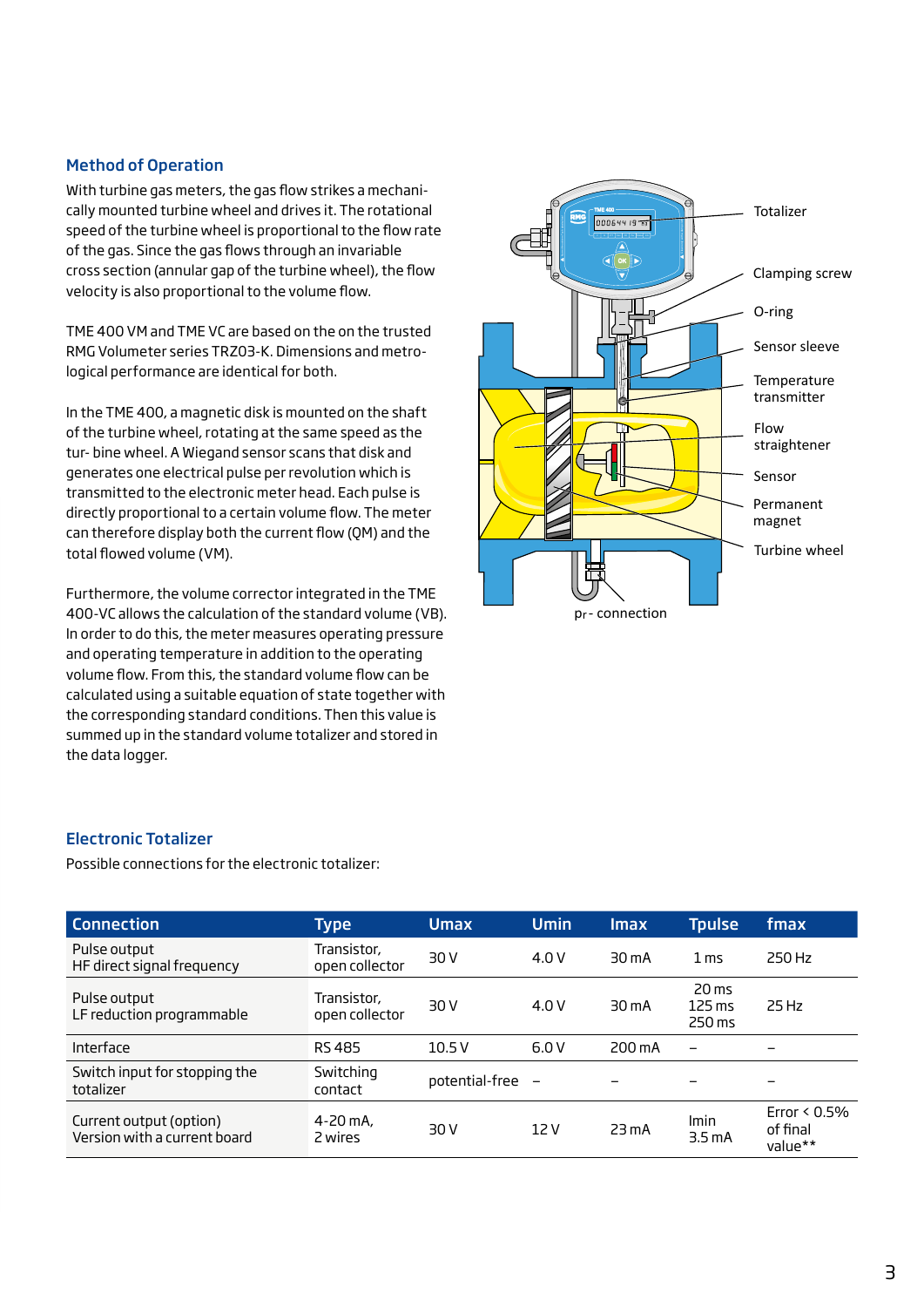### Method of Operation

With turbine gas meters, the gas flow strikes a mechanically mounted turbine wheel and drives it. The rotational speed of the turbine wheel is proportional to the flow rate of the gas. Since the gas flows through an invariable cross section (annular gap of the turbine wheel), the flow velocity is also proportional to the volume flow.

TME 400 VM and TME VC are based on the on the trusted RMG Volumeter series TRZ03-K. Dimensions and metrological performance are identical for both.

In the TME 400, a magnetic disk is mounted on the shaft of the turbine wheel, rotating at the same speed as the tur- bine wheel. A Wiegand sensor scans that disk and generates one electrical pulse per revolution which is transmitted to the electronic meter head. Each pulse is directly proportional to a certain volume flow. The meter can therefore display both the current flow (QM) and the total flowed volume (VM).

Furthermore, the volume corrector integrated in the TME 400-VC allows the calculation of the standard volume (VB). In order to do this, the meter measures operating pressure and operating temperature in addition to the operating volume flow. From this, the standard volume flow can be calculated using a suitable equation of state together with the corresponding standard conditions. Then this value is summed up in the standard volume totalizer and stored in the data logger.



#### Electronic Totalizer

Possible connections for the electronic totalizer:

| <b>Connection</b>                                       | <b>Type</b>                   | <b>Umax</b>    | <b>Umin</b>              | <b>Imax</b>       | <b>Tpulse</b>                                 | fmax                                   |
|---------------------------------------------------------|-------------------------------|----------------|--------------------------|-------------------|-----------------------------------------------|----------------------------------------|
| Pulse output<br>HF direct signal frequency              | Transistor,<br>open collector | 30 V           | 4.0V                     | 30 <sub>m</sub> A | 1 <sub>ms</sub>                               | 250 Hz                                 |
| Pulse output<br>LF reduction programmable               | Transistor,<br>open collector | 30 V           | 4.0 V                    | $30 \text{ mA}$   | $20 \text{ ms}$<br>$125 \text{ ms}$<br>250 ms | 25 Hz                                  |
| Interface                                               | <b>RS485</b>                  | 10.5V          | 6.0V                     | 200 mA            | $\overline{\phantom{0}}$                      | -                                      |
| Switch input for stopping the<br>totalizer              | Switching<br>contact          | potential-free | $\overline{\phantom{0}}$ | -                 |                                               | $\overline{\phantom{0}}$               |
| Current output (option)<br>Version with a current board | $4 - 20$ mA,<br>2 wires       | 30 V           | 12 V                     | 23 <sub>m</sub> A | Imin<br>3.5 <sub>m</sub> A                    | Error $< 0.5\%$<br>of final<br>value** |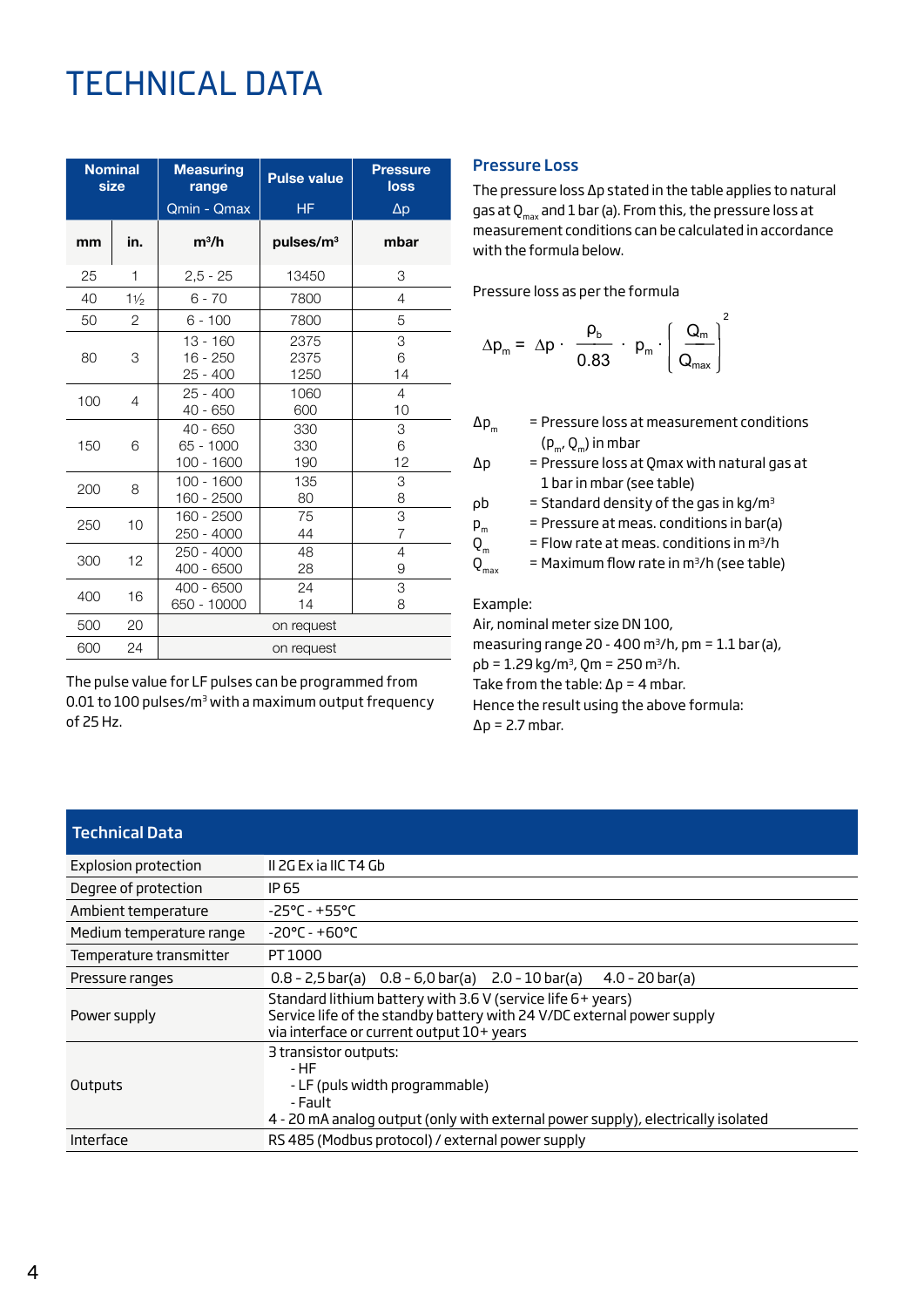# TECHNICAL DATA

| <b>Nominal</b><br>size |                | <b>Measuring</b><br>range<br>Qmin - Qmax | <b>Pulse value</b><br><b>HF</b> | <b>Pressure</b><br>loss<br>$\Delta p$ |  |  |  |
|------------------------|----------------|------------------------------------------|---------------------------------|---------------------------------------|--|--|--|
| mm                     | in.            | $m^3/h$                                  | pulses/m <sup>3</sup>           | mbar                                  |  |  |  |
| 25                     | 1              | $2,5 - 25$                               | 13450                           | 3                                     |  |  |  |
| 40                     | $1\frac{1}{2}$ | $6 - 70$                                 | 7800                            | 4                                     |  |  |  |
| 50                     | 2              | $6 - 100$                                | 7800                            | 5                                     |  |  |  |
| 80                     | 3              | $13 - 160$<br>$16 - 250$<br>$25 - 400$   | 2375<br>2375<br>1250            | 3<br>6<br>14                          |  |  |  |
| 100                    | 4              | $25 - 400$<br>40 - 650                   | 1060<br>600                     | 4<br>10                               |  |  |  |
| 150                    | 6              | $40 - 650$<br>65 - 1000<br>100 - 1600    | 330<br>330<br>190               | 3<br>6<br>12                          |  |  |  |
| 200                    | 8              | 100 - 1600<br>160 - 2500                 | 135<br>80                       | 3<br>8                                |  |  |  |
| 250                    | 10             | 160 - 2500<br>250 - 4000                 | 75<br>44                        | 3<br>$\overline{7}$                   |  |  |  |
| 300                    | 12             | 250 - 4000<br>400 - 6500                 | 48<br>28                        | $\overline{4}$<br>9                   |  |  |  |
| 400                    | 16             | $400 - 6500$<br>650 - 10000              | 24<br>14                        | 3<br>8                                |  |  |  |
| 500                    | 20             | on request                               |                                 |                                       |  |  |  |
| 600                    | 24             | on request                               |                                 |                                       |  |  |  |

The pulse value for LF pulses can be programmed from 0.01 to 100 pulses/m<sup>3</sup> with a maximum output frequency of 25 Hz.

#### Pressure Loss

The pressure loss ∆p stated in the table applies to natural gas at  $Q_{max}$  and 1 bar (a). From this, the pressure loss at measurement conditions can be calculated in accordance with the formula below.

Pressure loss as per the formula

$$
\Delta p_m = \Delta p \cdot \frac{\rho_b}{0.83} \cdot p_m \cdot \left(\frac{Q_m}{Q_{max}}\right)^2
$$

- $\Delta p_m$  = Pressure loss at measurement conditions  $(p_m, Q_m)$  in mbar
- ∆p = Pressure loss at Qmax with natural gas at 1 bar in mbar (see table)
- $pb = Standard density of the gas in kg/m<sup>3</sup>$
- $p_m$  = Pressure at meas. conditions in bar(a)
	-
- $Q_m$  = Flow rate at meas. conditions in m<sup>3</sup>/h<br> $Q_{m\nu}$  = Maximum flow rate in m<sup>3</sup>/h (see table  $=$  Maximum flow rate in m<sup>3</sup>/h (see table)

Example:

Air, nominal meter size DN 100, measuring range 20 - 400  $m^3/h$ , pm = 1.1 bar (a),  $pb = 1.29 kg/m<sup>3</sup>$ , Qm = 250 m<sup>3</sup>/h. Take from the table:  $\Delta p = 4$  mbar. Hence the result using the above formula: ∆p = 2.7 mbar.

# Technical Data

| Explosion protection     | II 2G Ex ia IIC T4 Gb                                                                                                                                                              |  |  |  |  |  |
|--------------------------|------------------------------------------------------------------------------------------------------------------------------------------------------------------------------------|--|--|--|--|--|
| Degree of protection     | IP 65                                                                                                                                                                              |  |  |  |  |  |
| Ambient temperature      | $-25^{\circ}$ C - +55°C                                                                                                                                                            |  |  |  |  |  |
| Medium temperature range | $-20^{\circ}$ C - +60°C                                                                                                                                                            |  |  |  |  |  |
| Temperature transmitter  | PT 1000                                                                                                                                                                            |  |  |  |  |  |
| Pressure ranges          | $0.8 - 2.5$ bar(a) $0.8 - 6.0$ bar(a) $2.0 - 10$ bar(a)<br>$4.0 - 20 \text{ bar(a)}$                                                                                               |  |  |  |  |  |
| Power supply             | Standard lithium battery with 3.6 V (service life 6+ years)<br>Service life of the standby battery with 24 V/DC external power supply<br>via interface or current output 10+ years |  |  |  |  |  |
| Outputs                  | 3 transistor outputs:<br>- HF<br>- LF (puls width programmable)<br>- Fault<br>4 - 20 mA analog output (only with external power supply), electrically isolated                     |  |  |  |  |  |
| Interface                | RS 485 (Modbus protocol) / external power supply                                                                                                                                   |  |  |  |  |  |
|                          |                                                                                                                                                                                    |  |  |  |  |  |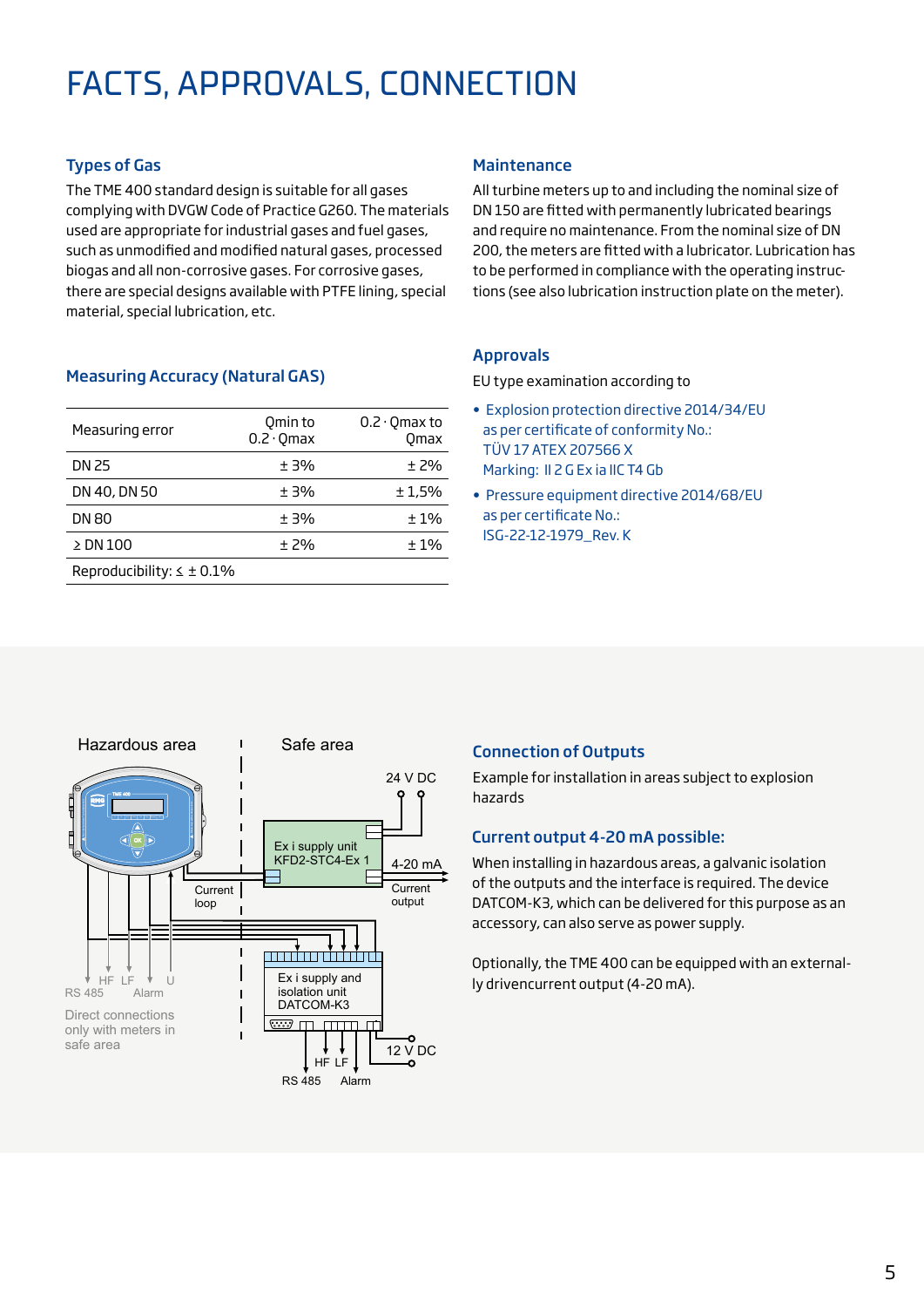# FACTS, APPROVALS, CONNECTION

# Types of Gas

The TME 400 standard design is suitable for all gases complying with DVGW Code of Practice G260. The materials used are appropriate for industrial gases and fuel gases, such as unmodified and modified natural gases, processed biogas and all non-corrosive gases. For corrosive gases, there are special designs available with PTFE lining, special material, special lubrication, etc.

# Measuring Accuracy (Natural GAS)

| Measuring error                   | Qmin to<br>$0.2 \cdot$ Omax | $0.2 \cdot$ Omax to<br><b>Omax</b> |
|-----------------------------------|-----------------------------|------------------------------------|
| DN 25                             | $+3%$                       | $±$ 2%                             |
| DN 40, DN 50                      | ±3%                         | ±1.5%                              |
| <b>DN 80</b>                      | ±3%                         | ±1%                                |
| $\geq$ DN 100                     | $+7%$                       | ±1%                                |
| Reproducibility: $\leq \pm 0.1\%$ |                             |                                    |

### **Maintenance**

All turbine meters up to and including the nominal size of DN 150 are fitted with permanently lubricated bearings and require no maintenance. From the nominal size of DN 200, the meters are fitted with a lubricator. Lubrication has to be performed in compliance with the operating instructions (see also lubrication instruction plate on the meter).

# Approvals

EU type examination according to

- Explosion protection directive 2014/34/EU as per certificate of conformity No.: TÜV 17 ATEX 207566 X Marking: II 2 G Ex ia IIC T4 Gb
- Pressure equipment directive 2014/68/EU as per certificate No.: ISG-22-12-1979\_Rev. K



# Connection of Outputs

Example for installation in areas subject to explosion hazards

# Current output 4-20 mA possible:

When installing in hazardous areas, a galvanic isolation of the outputs and the interface is required. The device DATCOM-K3, which can be delivered for this purpose as an accessory, can also serve as power supply.

Optionally, the TME 400 can be equipped with an externally drivencurrent output (4-20 mA).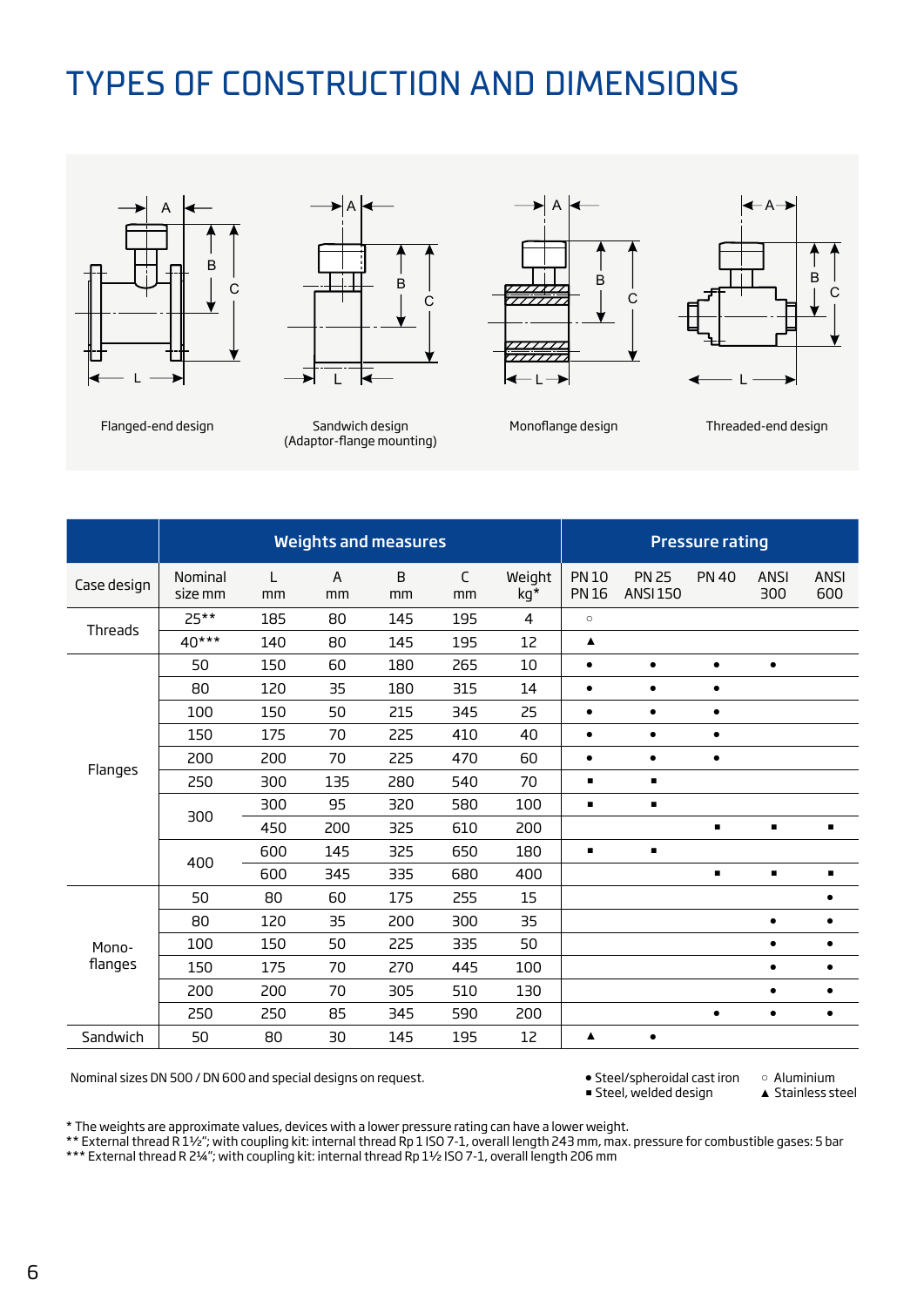# TYPES OF CONSTRUCTION AND DIMENSIONS





Flanged-end design Sandwich design (Adaptor-flange mounting)







|                  | <b>Weights and measures</b> |         |         |         |                   |                |                              |                                 | <b>Pressure rating</b> |                    |                |
|------------------|-----------------------------|---------|---------|---------|-------------------|----------------|------------------------------|---------------------------------|------------------------|--------------------|----------------|
| Case design      | Nominal<br>size mm          | L<br>mm | A<br>mm | B<br>mm | $\mathsf C$<br>mm | Weight<br>kg*  | <b>PN 10</b><br><b>PN 16</b> | <b>PN 25</b><br><b>ANSI 150</b> | <b>PN 40</b>           | <b>ANSI</b><br>300 | ANSI<br>600    |
| Threads          | $25**$                      | 185     | 80      | 145     | 195               | $\overline{4}$ | $\circ$                      |                                 |                        |                    |                |
|                  | 40***                       | 140     | 80      | 145     | 195               | 12             | ▲                            |                                 |                        |                    |                |
| Flanges          | 50                          | 150     | 60      | 180     | 265               | 10             | $\bullet$                    | $\bullet$                       | $\bullet$              | $\bullet$          |                |
|                  | 80                          | 120     | 35      | 180     | 315               | 14             | $\bullet$                    | $\bullet$                       | $\bullet$              |                    |                |
|                  | 100                         | 150     | 50      | 215     | 345               | 25             | $\bullet$                    | $\bullet$                       | $\bullet$              |                    |                |
|                  | 150                         | 175     | 70      | 225     | 410               | 40             | $\bullet$                    | $\bullet$                       | $\bullet$              |                    |                |
|                  | 200                         | 200     | 70      | 225     | 470               | 60             | $\bullet$                    | $\bullet$                       | $\bullet$              |                    |                |
|                  | 250                         | 300     | 135     | 280     | 540               | 70             | $\blacksquare$               | $\blacksquare$                  |                        |                    |                |
|                  | 300                         | 300     | 95      | 320     | 580               | 100            | $\blacksquare$               | $\blacksquare$                  |                        |                    |                |
|                  |                             | 450     | 200     | 325     | 610               | 200            |                              |                                 | g,                     | $\blacksquare$     | $\blacksquare$ |
|                  | 400                         | 600     | 145     | 325     | 650               | 180            | $\blacksquare$               | $\blacksquare$                  |                        |                    |                |
|                  |                             | 600     | 345     | 335     | 680               | 400            |                              |                                 | $\blacksquare$         | $\blacksquare$     | ٠              |
| Mono-<br>flanges | 50                          | 80      | 60      | 175     | 255               | 15             |                              |                                 |                        |                    | $\bullet$      |
|                  | 80                          | 120     | 35      | 200     | 300               | 35             |                              |                                 |                        | $\bullet$          | $\bullet$      |
|                  | 100                         | 150     | 50      | 225     | 335               | 50             |                              |                                 |                        | $\bullet$          | ٠              |
|                  | 150                         | 175     | 70      | 270     | 445               | 100            |                              |                                 |                        | $\bullet$          | ٠              |
|                  | 200                         | 200     | 70      | 305     | 510               | 130            |                              |                                 |                        | $\bullet$          | $\bullet$      |
|                  | 250                         | 250     | 85      | 345     | 590               | 200            |                              |                                 | $\bullet$              | $\bullet$          | ٠              |
| Sandwich         | 50                          | 80      | 30      | 145     | 195               | 12             | ▲                            | $\bullet$                       |                        |                    |                |

Nominal sizes DN 500 / DN 600 and special designs on request. ● Steel/spheroidal cast iron ○ Aluminium<br>● Steel, welded design ▲ Stainless steel

 $\blacksquare$  Steel, welded design

\* The weights are approximate values, devices with a lower pressure rating can have a lower weight.

\*\* External thread R 1½"; with coupling kit: internal thread Rp 1 ISO 7-1, overall length 243 mm, max. pressure for combustible gases: 5 bar

\*\*\* External thread R 2¼"; with coupling kit: internal thread Rp 1½ ISO 7-1, overall length 206 mm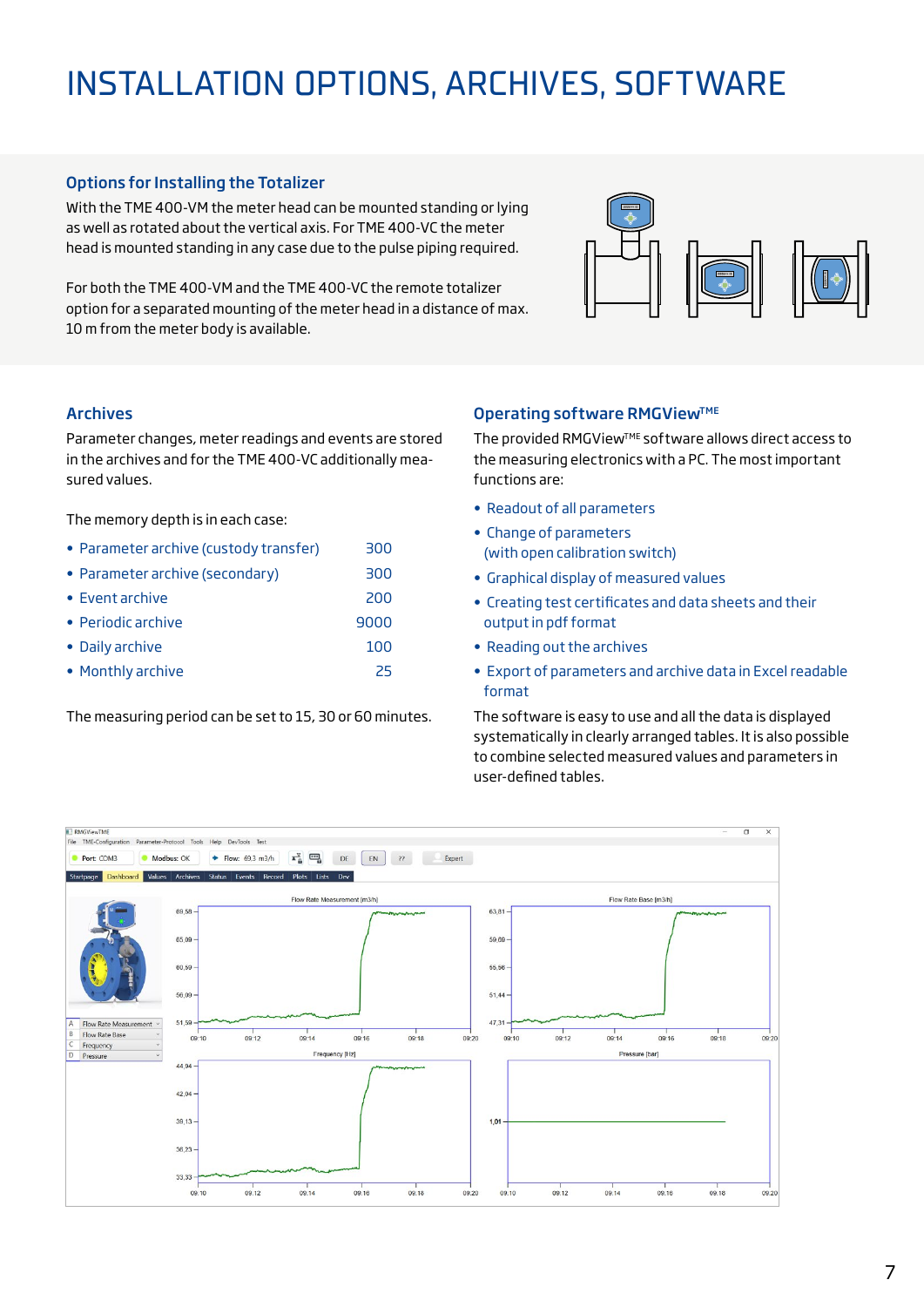# INSTALLATION OPTIONS, ARCHIVES, SOFTWARE

### Options for Installing the Totalizer

With the TME 400-VM the meter head can be mounted standing or lying as well as rotated about the vertical axis. For TME 400-VC the meter head is mounted standing in any case due to the pulse piping required.

For both the TME 400-VM and the TME 400-VC the remote totalizer option for a separated mounting of the meter head in a distance of max. 10 m from the meter body is available.



#### Archives

Parameter changes, meter readings and events are stored in the archives and for the TME 400-VC additionally measured values.

The memory depth is in each case:

- Parameter archive (custody transfer) 300
- Parameter archive (secondary) 300
- Event archive 200
- Periodic archive 9000
- Daily archive 100
- Monthly archive 25

The measuring period can be set to 15, 30 or 60 minutes.

### **Operating software RMGView™E**

The provided RMGView™E software allows direct access to the measuring electronics with a PC. The most important functions are:

- Readout of all parameters
- Change of parameters (with open calibration switch)
- Graphical display of measured values
- Creating test certificates and data sheets and their output in pdf format
- Reading out the archives
- Export of parameters and archive data in Excel readable format

The software is easy to use and all the data is displayed systematically in clearly arranged tables. It is also possible to combine selected measured values and parameters in user-defined tables.